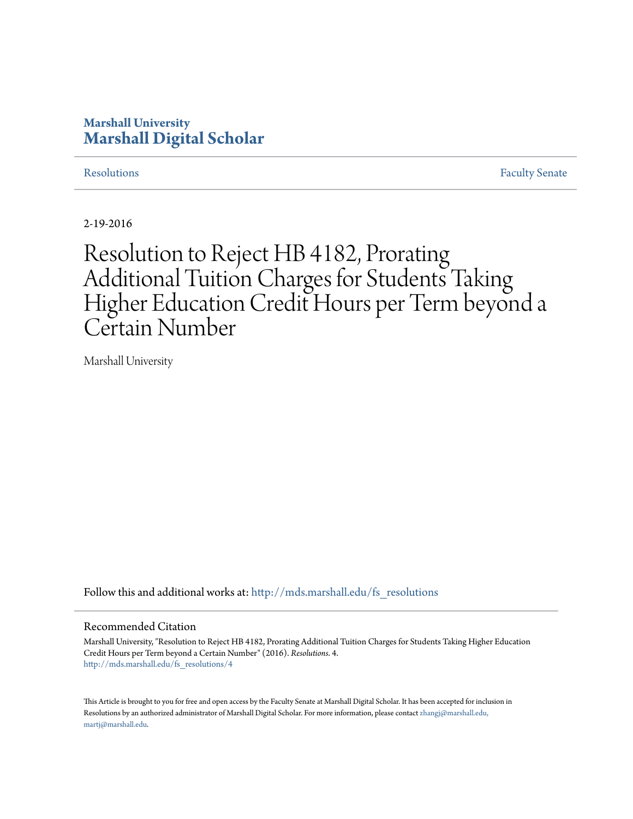## **Marshall University [Marshall Digital Scholar](http://mds.marshall.edu?utm_source=mds.marshall.edu%2Ffs_resolutions%2F4&utm_medium=PDF&utm_campaign=PDFCoverPages)**

[Resolutions](http://mds.marshall.edu/fs_resolutions?utm_source=mds.marshall.edu%2Ffs_resolutions%2F4&utm_medium=PDF&utm_campaign=PDFCoverPages) [Faculty Senate](http://mds.marshall.edu/fs?utm_source=mds.marshall.edu%2Ffs_resolutions%2F4&utm_medium=PDF&utm_campaign=PDFCoverPages)

2-19-2016

# Resolution to Reject HB 4182, Prorating Additional Tuition Charges for Students Taking Higher Education Credit Hours per Term beyond a Certain Number

Marshall University

Follow this and additional works at: [http://mds.marshall.edu/fs\\_resolutions](http://mds.marshall.edu/fs_resolutions?utm_source=mds.marshall.edu%2Ffs_resolutions%2F4&utm_medium=PDF&utm_campaign=PDFCoverPages)

### Recommended Citation

Marshall University, "Resolution to Reject HB 4182, Prorating Additional Tuition Charges for Students Taking Higher Education Credit Hours per Term beyond a Certain Number" (2016). *Resolutions*. 4. [http://mds.marshall.edu/fs\\_resolutions/4](http://mds.marshall.edu/fs_resolutions/4?utm_source=mds.marshall.edu%2Ffs_resolutions%2F4&utm_medium=PDF&utm_campaign=PDFCoverPages)

This Article is brought to you for free and open access by the Faculty Senate at Marshall Digital Scholar. It has been accepted for inclusion in Resolutions by an authorized administrator of Marshall Digital Scholar. For more information, please contact [zhangj@marshall.edu,](mailto:zhangj@marshall.edu,%20martj@marshall.edu) [martj@marshall.edu](mailto:zhangj@marshall.edu,%20martj@marshall.edu).